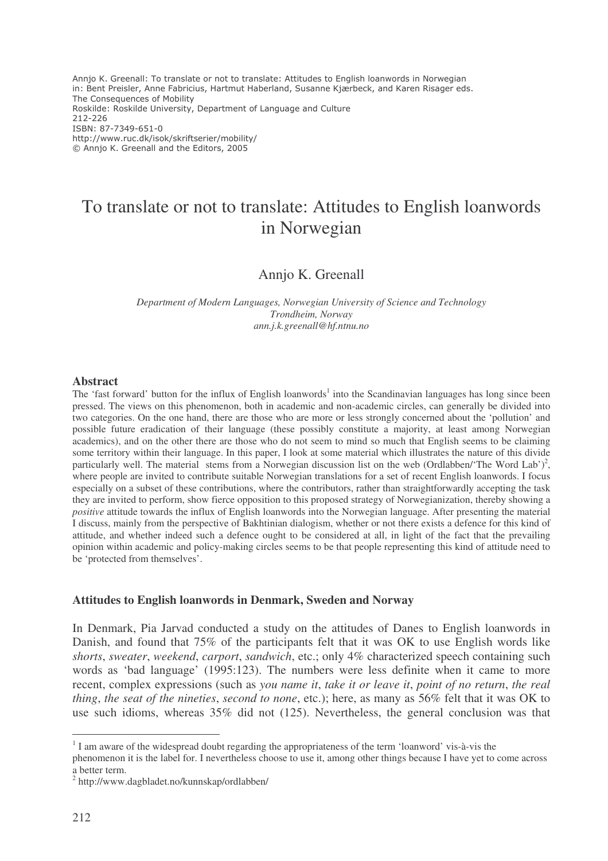Annjo K. Greenall: To translate or not to translate: Attitudes to English loanwords in Norwegian in: Bent Preisler, Anne Fabricius, Hartmut Haberland, Susanne Kjærbeck, and Karen Risager eds. The Consequences of Mobility Roskilde: Roskilde University, Department of Language and Culture 212-226 ISBN: 87-7349-651-0 http://www.ruc.dk/isok/skriftserier/mobility/ © Annjo K. Greenall and the Editors, 2005

# To translate or not to translate: Attitudes to English loanwords in Norwegian

## Annjo K. Greenall

*Department of Modern Languages, Norwegian University of Science and Technology Trondheim, Norway ann.j.k.greenall@hf.ntnu.no*

#### **Abstract**

The 'fast forward' button for the influx of English loanwords<sup>1</sup> into the Scandinavian languages has long since been pressed. The views on this phenomenon, both in academic and non-academic circles, can generally be divided into two categories. On the one hand, there are those who are more or less strongly concerned about the 'pollution' and possible future eradication of their language (these possibly constitute a majority, at least among Norwegian academics), and on the other there are those who do not seem to mind so much that English seems to be claiming some territory within their language. In this paper, I look at some material which illustrates the nature of this divide particularly well. The material stems from a Norwegian discussion list on the web (Ordlabben/'The Word Lab')<sup>2</sup>, where people are invited to contribute suitable Norwegian translations for a set of recent English loanwords. I focus especially on a subset of these contributions, where the contributors, rather than straightforwardly accepting the task they are invited to perform, show fierce opposition to this proposed strategy of Norwegianization, thereby showing a *positive* attitude towards the influx of English loanwords into the Norwegian language. After presenting the material I discuss, mainly from the perspective of Bakhtinian dialogism, whether or not there exists a defence for this kind of attitude, and whether indeed such a defence ought to be considered at all, in light of the fact that the prevailing opinion within academic and policy-making circles seems to be that people representing this kind of attitude need to be 'protected from themselves'.

#### **Attitudes to English loanwords in Denmark, Sweden and Norway**

In Denmark, Pia Jarvad conducted a study on the attitudes of Danes to English loanwords in Danish, and found that 75% of the participants felt that it was OK to use English words like *shorts*, *sweater*, *weekend*, *carport*, *sandwich*, etc.; only 4% characterized speech containing such words as 'bad language' (1995:123). The numbers were less definite when it came to more recent, complex expressions (such as *you name it*, *take it or leave it*, *point of no return*, *the real thing*, *the seat of the nineties*, *second to none*, etc.); here, as many as 56% felt that it was OK to use such idioms, whereas 35% did not (125). Nevertheless, the general conclusion was that

<sup>&</sup>lt;sup>1</sup> I am aware of the widespread doubt regarding the appropriateness of the term 'loanword' vis-à-vis the

phenomenon it is the label for. I nevertheless choose to use it, among other things because I have yet to come across a better term.

<sup>&</sup>lt;sup>2</sup> http://www.dagbladet.no/kunnskap/ordlabben/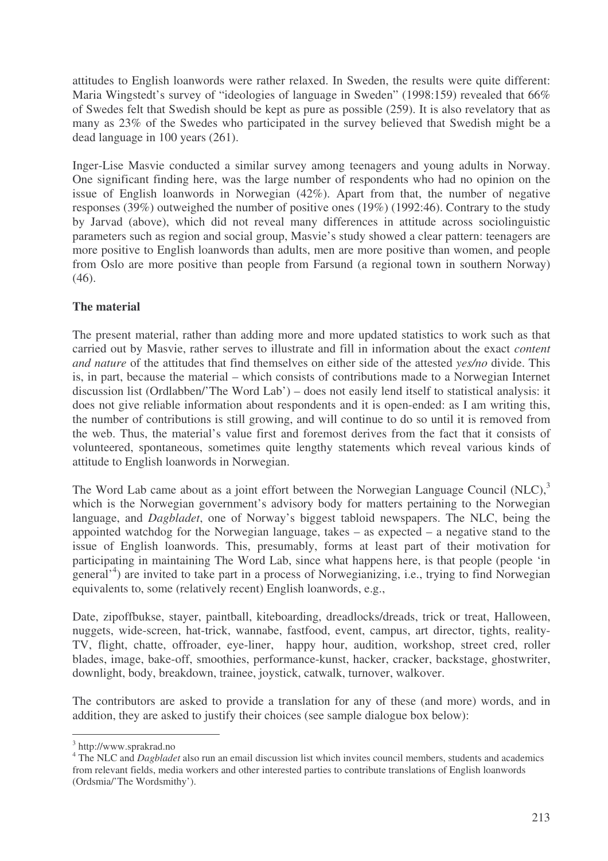attitudes to English loanwords were rather relaxed. In Sweden, the results were quite different: Maria Wingstedt's survey of "ideologies of language in Sweden" (1998:159) revealed that 66% of Swedes felt that Swedish should be kept as pure as possible (259). It is also revelatory that as many as 23% of the Swedes who participated in the survey believed that Swedish might be a dead language in 100 years (261).

Inger-Lise Masvie conducted a similar survey among teenagers and young adults in Norway. One significant finding here, was the large number of respondents who had no opinion on the issue of English loanwords in Norwegian (42%). Apart from that, the number of negative responses (39%) outweighed the number of positive ones (19%) (1992:46). Contrary to the study by Jarvad (above), which did not reveal many differences in attitude across sociolinguistic parameters such as region and social group, Masvie's study showed a clear pattern: teenagers are more positive to English loanwords than adults, men are more positive than women, and people from Oslo are more positive than people from Farsund (a regional town in southern Norway)  $(46)$ .

# **The material**

The present material, rather than adding more and more updated statistics to work such as that carried out by Masvie, rather serves to illustrate and fill in information about the exact *content and nature* of the attitudes that find themselves on either side of the attested *yes/no* divide. This is, in part, because the material – which consists of contributions made to a Norwegian Internet discussion list (Ordlabben/'The Word Lab') – does not easily lend itself to statistical analysis: it does not give reliable information about respondents and it is open-ended: as I am writing this, the number of contributions is still growing, and will continue to do so until it is removed from the web. Thus, the material's value first and foremost derives from the fact that it consists of volunteered, spontaneous, sometimes quite lengthy statements which reveal various kinds of attitude to English loanwords in Norwegian.

The Word Lab came about as a joint effort between the Norwegian Language Council (NLC),<sup>3</sup> which is the Norwegian government's advisory body for matters pertaining to the Norwegian language, and *Dagbladet*, one of Norway's biggest tabloid newspapers. The NLC, being the appointed watchdog for the Norwegian language, takes – as expected – a negative stand to the issue of English loanwords. This, presumably, forms at least part of their motivation for participating in maintaining The Word Lab, since what happens here, is that people (people 'in general<sup>14</sup>) are invited to take part in a process of Norwegianizing, i.e., trying to find Norwegian equivalents to, some (relatively recent) English loanwords, e.g.,

Date, zipoffbukse, stayer, paintball, kiteboarding, dreadlocks/dreads, trick or treat, Halloween, nuggets, wide-screen, hat-trick, wannabe, fastfood, event, campus, art director, tights, reality-TV, flight, chatte, offroader, eye-liner, happy hour, audition, workshop, street cred, roller blades, image, bake-off, smoothies, performance-kunst, hacker, cracker, backstage, ghostwriter, downlight, body, breakdown, trainee, joystick, catwalk, turnover, walkover.

The contributors are asked to provide a translation for any of these (and more) words, and in addition, they are asked to justify their choices (see sample dialogue box below):

<sup>&</sup>lt;sup>3</sup> http://www.sprakrad.no

<sup>&</sup>lt;sup>4</sup> The NLC and *Dagbladet* also run an email discussion list which invites council members, students and academics from relevant fields, media workers and other interested parties to contribute translations of English loanwords (Ordsmia/'The Wordsmithy').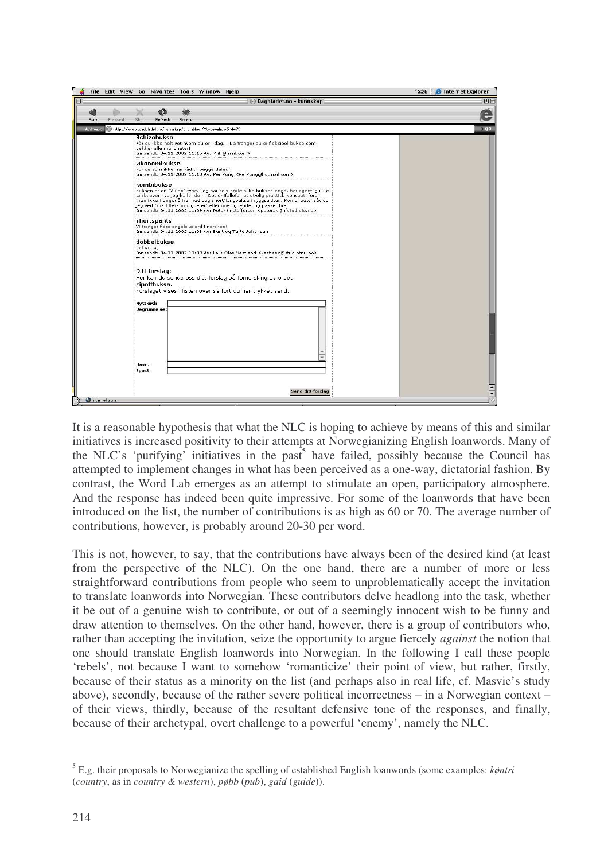|                 | File Edit View Go Favorites Tools Window Hielp                                                                                                                                                                                                                                                                                                                                                                                                         | <b>2</b> Internet Explorer<br>15:26 |
|-----------------|--------------------------------------------------------------------------------------------------------------------------------------------------------------------------------------------------------------------------------------------------------------------------------------------------------------------------------------------------------------------------------------------------------------------------------------------------------|-------------------------------------|
|                 | Dagbladet.no - kunnskap<br>ര                                                                                                                                                                                                                                                                                                                                                                                                                           | 凹目                                  |
| Back<br>Forward | Stop<br>Refresh<br>Source                                                                                                                                                                                                                                                                                                                                                                                                                              |                                     |
| Address:        | @http://www.dagbladet.no/kunnskap/ordlabben/?type=show&id=79                                                                                                                                                                                                                                                                                                                                                                                           | > q <sub>o</sub>                    |
|                 | Schizobukse<br>Når du ikke helt vet hvem du er i dag Da trenger du ei fleksibel bukse som<br>dekker alle muligheter!<br>Innsendt: 04.11.2002 11:15 Av: < liff@mail.com>                                                                                                                                                                                                                                                                                |                                     |
|                 | Økonomibukse<br>For de som ikke har råd til begge deler<br>Innsendt: 04.11.2002 11:13 Av: Per Pung <perpung@hotmail.com></perpung@hotmail.com>                                                                                                                                                                                                                                                                                                         |                                     |
|                 | kombibukse<br>buksen er en "2 i en" type. Jeg har selv brukt slike bukser lenge, har egentlig ikke<br>tenkt over hva jeg kaller dem. Det er ifallefall et utrolig praktisk konsept, fordi<br>man ikke trenger å ha med seg short/langbukse i ryggsekken. Kombi betyr såvidt<br>jeg ved "med flere muligheter" eller noe lignende, og passer bra.<br>Innsendt: 04.11.2002 11:09 Av: Peter Kristoffersen <peterak@hfstud.uio.no></peterak@hfstud.uio.no> |                                     |
|                 | shortspants<br>Vi trenger flere engelske ord i norsken!<br>Innsendt: 04.11.2002 11:08 Av: Berit og Tufte Johansen                                                                                                                                                                                                                                                                                                                                      |                                     |
|                 | dobbelbukse<br>to i en ja,<br>Innsendt: 04.11.2002 10:39 Av: Lars Olav Vestland <vestland@stud.ntnu.no></vestland@stud.ntnu.no>                                                                                                                                                                                                                                                                                                                        |                                     |
|                 | Ditt forslag:<br>Her kan du sende oss ditt forslag på fornorsking av ordet<br>zipoffbukse.<br>Forslaget vises i listen over så fort du har trykket send.<br>Nytt ord:                                                                                                                                                                                                                                                                                  |                                     |
|                 | <b>Begrunnelse:</b>                                                                                                                                                                                                                                                                                                                                                                                                                                    |                                     |
|                 | Navn:<br>Epost:                                                                                                                                                                                                                                                                                                                                                                                                                                        |                                     |
|                 | Send ditt forslag                                                                                                                                                                                                                                                                                                                                                                                                                                      |                                     |
| Internet zone   |                                                                                                                                                                                                                                                                                                                                                                                                                                                        |                                     |

It is a reasonable hypothesis that what the NLC is hoping to achieve by means of this and similar initiatives is increased positivity to their attempts at Norwegianizing English loanwords. Many of the NLC's 'purifying' initiatives in the past<sup>5</sup> have failed, possibly because the Council has attempted to implement changes in what has been perceived as a one-way, dictatorial fashion. By contrast, the Word Lab emerges as an attempt to stimulate an open, participatory atmosphere. And the response has indeed been quite impressive. For some of the loanwords that have been introduced on the list, the number of contributions is as high as 60 or 70. The average number of contributions, however, is probably around 20-30 per word.

This is not, however, to say, that the contributions have always been of the desired kind (at least from the perspective of the NLC). On the one hand, there are a number of more or less straightforward contributions from people who seem to unproblematically accept the invitation to translate loanwords into Norwegian. These contributors delve headlong into the task, whether it be out of a genuine wish to contribute, or out of a seemingly innocent wish to be funny and draw attention to themselves. On the other hand, however, there is a group of contributors who, rather than accepting the invitation, seize the opportunity to argue fiercely *against* the notion that one should translate English loanwords into Norwegian. In the following I call these people 'rebels', not because I want to somehow 'romanticize' their point of view, but rather, firstly, because of their status as a minority on the list (and perhaps also in real life, cf. Masvie's study above), secondly, because of the rather severe political incorrectness – in a Norwegian context – of their views, thirdly, because of the resultant defensive tone of the responses, and finally, because of their archetypal, overt challenge to a powerful 'enemy', namely the NLC.

<sup>5</sup> E.g. their proposals to Norwegianize the spelling of established English loanwords (some examples: *køntri* (*country*, as in *country & western*), *pøbb* (*pub*), *gaid* (*guide*)).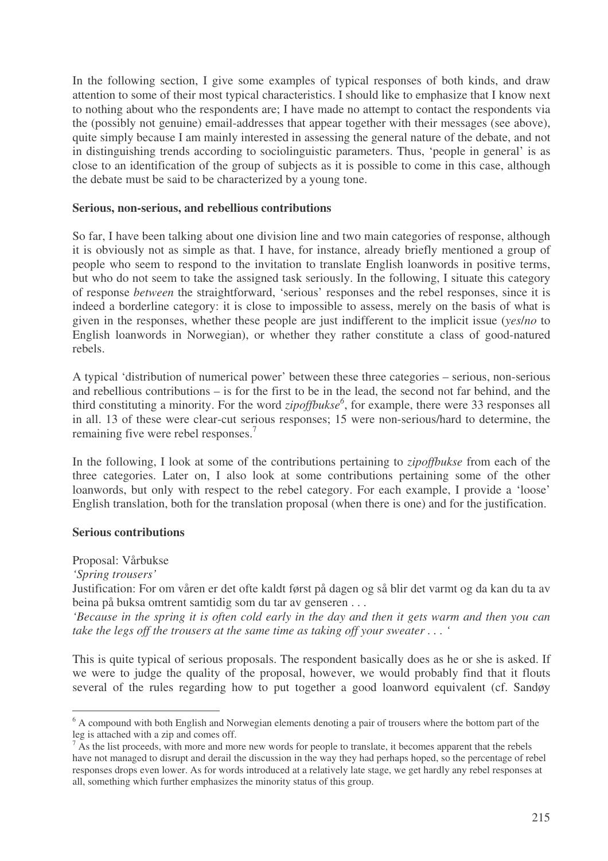In the following section, I give some examples of typical responses of both kinds, and draw attention to some of their most typical characteristics. I should like to emphasize that I know next to nothing about who the respondents are; I have made no attempt to contact the respondents via the (possibly not genuine) email-addresses that appear together with their messages (see above), quite simply because I am mainly interested in assessing the general nature of the debate, and not in distinguishing trends according to sociolinguistic parameters. Thus, 'people in general' is as close to an identification of the group of subjects as it is possible to come in this case, although the debate must be said to be characterized by a young tone.

### **Serious, non-serious, and rebellious contributions**

So far, I have been talking about one division line and two main categories of response, although it is obviously not as simple as that. I have, for instance, already briefly mentioned a group of people who seem to respond to the invitation to translate English loanwords in positive terms, but who do not seem to take the assigned task seriously. In the following, I situate this category of response *between* the straightforward, 'serious' responses and the rebel responses, since it is indeed a borderline category: it is close to impossible to assess, merely on the basis of what is given in the responses, whether these people are just indifferent to the implicit issue (*yes*/*no* to English loanwords in Norwegian), or whether they rather constitute a class of good-natured rebels.

A typical 'distribution of numerical power' between these three categories – serious, non-serious and rebellious contributions – is for the first to be in the lead, the second not far behind, and the third constituting a minority. For the word *zipoffbukse 6* , for example, there were 33 responses all in all. 13 of these were clear-cut serious responses; 15 were non-serious/hard to determine, the remaining five were rebel responses.<sup>7</sup>

In the following, I look at some of the contributions pertaining to *zipoffbukse* from each of the three categories. Later on, I also look at some contributions pertaining some of the other loanwords, but only with respect to the rebel category. For each example, I provide a 'loose' English translation, both for the translation proposal (when there is one) and for the justification.

### **Serious contributions**

Proposal: Vårbukse

*'Spring trousers'*

Justification: For om våren er det ofte kaldt først på dagen og så blir det varmt og da kan du ta av beina på buksa omtrent samtidig som du tar av genseren . . .

'Because in the spring it is often cold early in the day and then it gets warm and then you can *take the legs off the trousers at the same time as taking off your sweater . . . '*

This is quite typical of serious proposals. The respondent basically does as he or she is asked. If we were to judge the quality of the proposal, however, we would probably find that it flouts several of the rules regarding how to put together a good loanword equivalent (cf. Sandøy

 $6$  A compound with both English and Norwegian elements denoting a pair of trousers where the bottom part of the leg is attached with a zip and comes off.

 $<sup>7</sup>$  As the list proceeds, with more and more new words for people to translate, it becomes apparent that the rebels</sup> have not managed to disrupt and derail the discussion in the way they had perhaps hoped, so the percentage of rebel responses drops even lower. As for words introduced at a relatively late stage, we get hardly any rebel responses at all, something which further emphasizes the minority status of this group.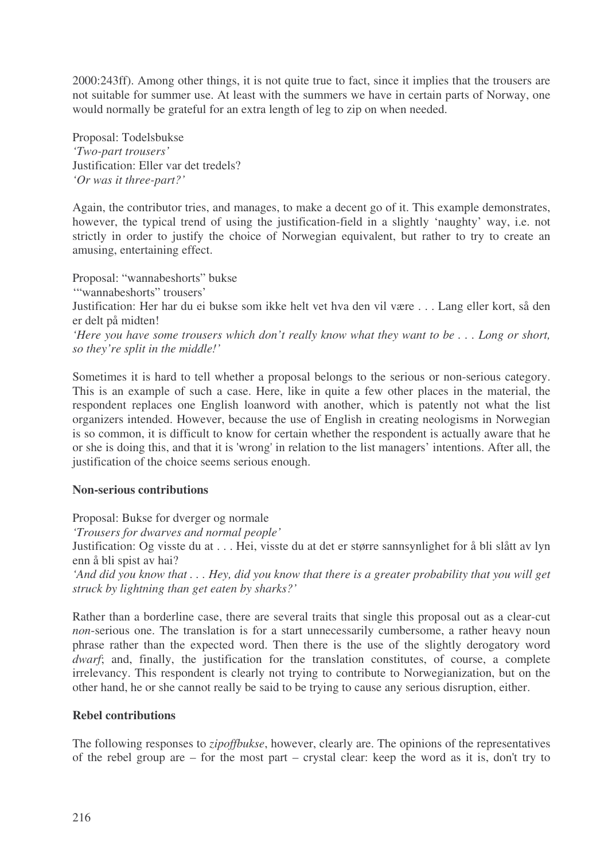2000:243ff). Among other things, it is not quite true to fact, since it implies that the trousers are not suitable for summer use. At least with the summers we have in certain parts of Norway, one would normally be grateful for an extra length of leg to zip on when needed.

Proposal: Todelsbukse *'Two-part trousers'* Justification: Eller var det tredels? *'Or was it three-part?'*

Again, the contributor tries, and manages, to make a decent go of it. This example demonstrates, however, the typical trend of using the justification-field in a slightly 'naughty' way, i.e. not strictly in order to justify the choice of Norwegian equivalent, but rather to try to create an amusing, entertaining effect.

Proposal: "wannabeshorts" bukse '"wannabeshorts" trousers' Justification: Her har du ei bukse som ikke helt vet hva den vil være . . . Lang eller kort, så den er delt på midten! 'Here you have some trousers which don't really know what they want to be  $\ldots$  Long or short,

*so they're split in the middle!'*

Sometimes it is hard to tell whether a proposal belongs to the serious or non-serious category. This is an example of such a case. Here, like in quite a few other places in the material, the respondent replaces one English loanword with another, which is patently not what the list organizers intended. However, because the use of English in creating neologisms in Norwegian is so common, it is difficult to know for certain whether the respondent is actually aware that he or she is doing this, and that it is 'wrong'in relation to the list managers' intentions. After all, the justification of the choice seems serious enough.

## **Non-serious contributions**

Proposal: Bukse for dverger og normale

*'Trousers for dwarves and normal people'*

Justification: Og visste du at . . . Hei, visste du at det er større sannsynlighet for å bli slått av lyn enn å bli spist av hai?

'And did you know that . . . Hey, did you know that there is a greater probability that you will get *struck by lightning than get eaten by sharks?'*

Rather than a borderline case, there are several traits that single this proposal out as a clear-cut *non*-serious one. The translation is for a start unnecessarily cumbersome, a rather heavy noun phrase rather than the expected word. Then there is the use of the slightly derogatory word *dwarf*; and, finally, the justification for the translation constitutes, of course, a complete irrelevancy. This respondent is clearly not trying to contribute to Norwegianization, but on the other hand, he or she cannot really be said to be trying to cause any serious disruption, either.

## **Rebel contributions**

The following responses to *zipoffbukse*, however, clearly are. The opinions of the representatives of the rebel group are – for the most part – crystal clear: keep the word as it is, don't try to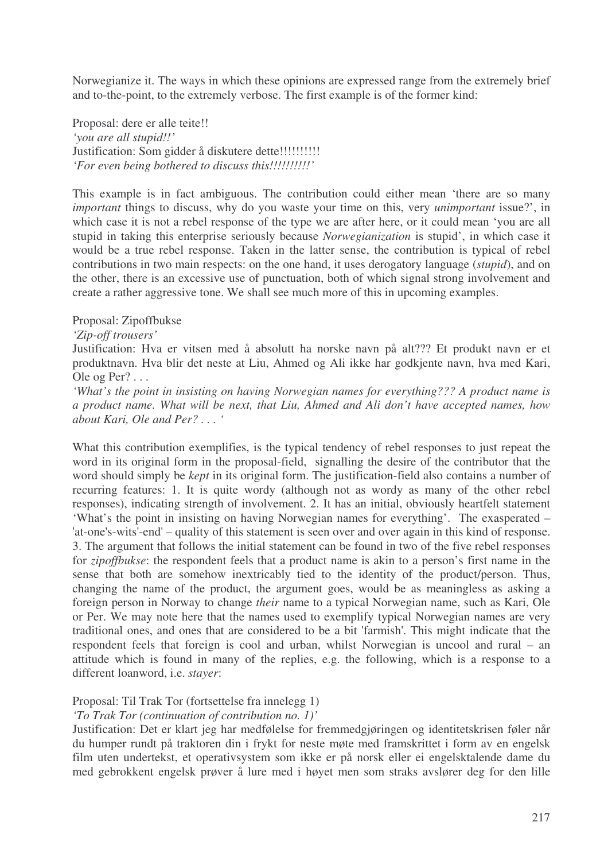Norwegianize it. The ways in which these opinions are expressed range from the extremely brief and to-the-point, to the extremely verbose. The first example is of the former kind:

Proposal: dere er alle teite!! *'you are all stupid!!'* Justification: Som gidder å diskutere dette!!!!!!!!!!!!! *'For even being bothered to discuss this!!!!!!!!!!'*

This example is in fact ambiguous. The contribution could either mean 'there are so many *important* things to discuss, why do you waste your time on this, very *unimportant* issue?', in which case it is not a rebel response of the type we are after here, or it could mean 'you are all stupid in taking this enterprise seriously because *Norwegianization* is stupid', in which case it would be a true rebel response. Taken in the latter sense, the contribution is typical of rebel contributions in two main respects: on the one hand, it uses derogatory language (*stupid*), and on the other, there is an excessive use of punctuation, both of which signal strong involvement and create a rather aggressive tone. We shall see much more of this in upcoming examples.

#### Proposal: Zipoffbukse

#### *'Zip-off trousers'*

Justification: Hva er vitsen med å absolutt ha norske navn på alt??? Et produkt navn er et produktnavn. Hva blir det neste at Liu, Ahmed og Ali ikke har godkjente navn, hva med Kari, Ole og Per? . . .

*'What's the point in insisting on having Norwegian names for everything??? A product name is a product name. What will be next, that Liu, Ahmed and Ali don't have accepted names, how about Kari, Ole and Per? . . . '*

What this contribution exemplifies, is the typical tendency of rebel responses to just repeat the word in its original form in the proposal-field, signalling the desire of the contributor that the word should simply be *kept* in its original form. The justification-field also contains a number of recurring features: 1. It is quite wordy (although not as wordy as many of the other rebel responses), indicating strength of involvement. 2. It has an initial, obviously heartfelt statement 'What's the point in insisting on having Norwegian names for everything'. The exasperated – 'at-one's-wits'-end'– quality of this statement is seen over and over again in this kind of response. 3. The argument that follows the initial statement can be found in two of the five rebel responses for *zipoffbukse*: the respondent feels that a product name is akin to a person's first name in the sense that both are somehow inextricably tied to the identity of the product/person. Thus, changing the name of the product, the argument goes, would be as meaningless as asking a foreign person in Norway to change *their* name to a typical Norwegian name, such as Kari, Ole or Per. We may note here that the names used to exemplify typical Norwegian names are very traditional ones, and ones that are considered to be a bit 'farmish'. This might indicate that the respondent feels that foreign is cool and urban, whilst Norwegian is uncool and rural – an attitude which is found in many of the replies, e.g. the following, which is a response to a different loanword, i.e. *stayer*:

### Proposal: Til Trak Tor (fortsettelse fra innelegg 1)

### *'To Trak Tor (continuation of contribution no. 1)'*

Justification: Det er klart jeg har medfølelse for fremmedgjøringen og identitetskrisen føler når du humper rundt på traktoren din i frykt for neste møte med framskrittet i form av en engelsk film uten undertekst, et operativsystem som ikke er på norsk eller ei engelsktalende dame du med gebrokkent engelsk prøver å lure med i høyet men som straks avslører deg for den lille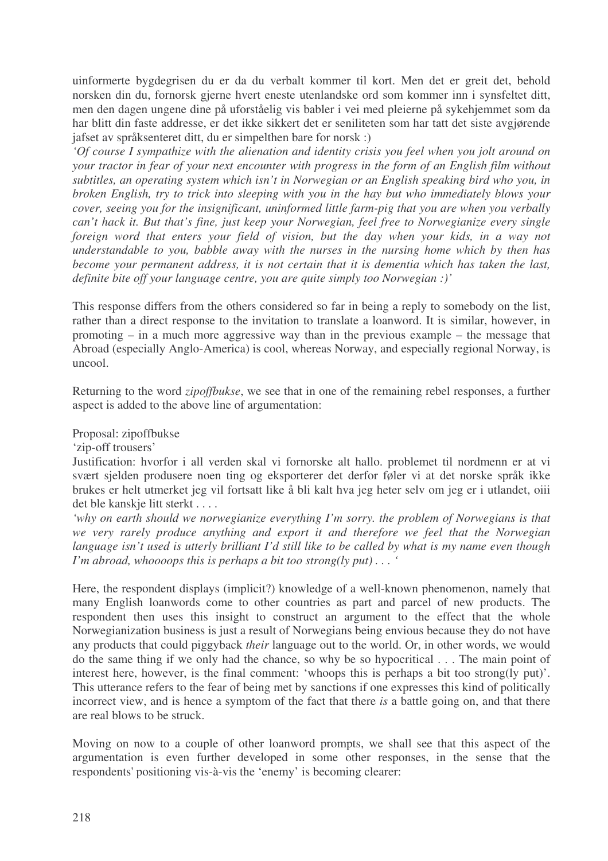uinformerte bygdegrisen du er da du verbalt kommer til kort. Men det er greit det, behold norsken din du, fornorsk gjerne hvert eneste utenlandske ord som kommer inn i synsfeltet ditt, men den dagen ungene dine på uforståelig vis babler i vei med pleierne på sykehjemmet som da har blitt din faste addresse, er det ikke sikkert det er seniliteten som har tatt det siste avgjørende jafset av språksenteret ditt, du er simpelthen bare for norsk :)

*'Of course I sympathize with the alienation and identity crisis you feel when you jolt around on your tractor in fear of your next encounter with progress in the form of an English film without subtitles, an operating system which isn't in Norwegian or an English speaking bird who you, in broken English, try to trick into sleeping with you in the hay but who immediately blows your cover, seeing you for the insignificant, uninformed little farm-pig that you are when you verbally can't hack it. But that's fine, just keep your Norwegian, feel free to Norwegianize every single foreign word that enters your field of vision, but the day when your kids, in a way not understandable to you, babble away with the nurses in the nursing home which by then has become your permanent address, it is not certain that it is dementia which has taken the last, definite bite off your language centre, you are quite simply too Norwegian :)'*

This response differs from the others considered so far in being a reply to somebody on the list, rather than a direct response to the invitation to translate a loanword. It is similar, however, in promoting – in a much more aggressive way than in the previous example – the message that Abroad (especially Anglo-America) is cool, whereas Norway, and especially regional Norway, is uncool.

Returning to the word *zipoffbukse*, we see that in one of the remaining rebel responses, a further aspect is added to the above line of argumentation:

## Proposal: zipoffbukse

### 'zip-off trousers'

Justification: hvorfor i all verden skal vi fornorske alt hallo. problemet til nordmenn er at vi svært sjelden produsere noen ting og eksporterer det derfor føler vi at det norske språk ikke brukes er helt utmerket jeg vil fortsatt like å bli kalt hva jeg heter selv om jeg er i utlandet, oiii det ble kanskie litt sterkt . . . .

*'why on earth should we norwegianize everything I'm sorry. the problem of Norwegians is that we very rarely produce anything and export it and therefore we feel that the Norwegian* language isn't used is utterly brilliant I'd still like to be called by what is my name even though *I'm abroad, whoooops this is perhaps a bit too strong(ly put) . . . '*

Here, the respondent displays (implicit?) knowledge of a well-known phenomenon, namely that many English loanwords come to other countries as part and parcel of new products. The respondent then uses this insight to construct an argument to the effect that the whole Norwegianization business is just a result of Norwegians being envious because they do not have any products that could piggyback *their* language out to the world. Or, in other words, we would do the same thing if we only had the chance, so why be so hypocritical . . . The main point of interest here, however, is the final comment: 'whoops this is perhaps a bit too strong(ly put)'. This utterance refers to the fear of being met by sanctions if one expresses this kind of politically incorrect view, and is hence a symptom of the fact that there *is* a battle going on, and that there are real blows to be struck.

Moving on now to a couple of other loanword prompts, we shall see that this aspect of the argumentation is even further developed in some other responses, in the sense that the respondents'positioning vis-à-vis the 'enemy' is becoming clearer: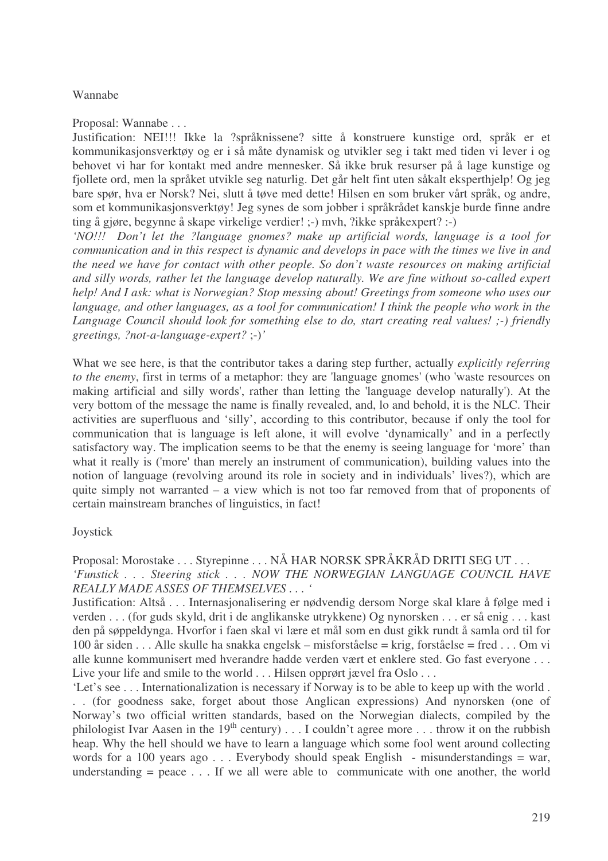## Wannabe

Proposal: Wannabe . . .

Justification: NEI!!! Ikke la ?språknissene? sitte å konstruere kunstige ord, språk er et kommunikasjonsverktøy og er i så måte dynamisk og utvikler seg i takt med tiden vi lever i og behovet vi har for kontakt med andre mennesker. Så ikke bruk resurser på å lage kunstige og fjollete ord, men la språket utvikle seg naturlig. Det går helt fint uten såkalt eksperthjelp! Og jeg bare spør, hva er Norsk? Nei, slutt å tøve med dette! Hilsen en som bruker vårt språk, og andre, som et kommunikasjonsverktøy! Jeg synes de som jobber i språkrådet kanskje burde finne andre ting å gjøre, begynne å skape virkelige verdier! ;-) mvh, ?ikke språkexpert? :-)

*'NO!!! Don't let the ?language gnomes? make up artificial words, language is a tool for communication and in this respect is dynamic and develops in pace with the times we live in and the need we have for contact with other people. So don't waste resources on making artificial and silly words, rather let the language develop naturally. We are fine without so-called expert help! And I ask: what is Norwegian? Stop messing about! Greetings from someone who uses our language, and other languages, as a tool for communication! I think the people who work in the Language Council should look for something else to do, start creating real values! ;-) friendly greetings, ?not-a-language-expert?* ;-)*'*

What we see here, is that the contributor takes a daring step further, actually *explicitly referring to the enemy*, first in terms of a metaphor: they are 'language gnomes'(who 'waste resources on making artificial and silly words', rather than letting the 'language develop naturally'). At the very bottom of the message the name is finally revealed, and, lo and behold, it is the NLC. Their activities are superfluous and 'silly', according to this contributor, because if only the tool for communication that is language is left alone, it will evolve 'dynamically' and in a perfectly satisfactory way. The implication seems to be that the enemy is seeing language for 'more' than what it really is ('more' than merely an instrument of communication), building values into the notion of language (revolving around its role in society and in individuals' lives?), which are quite simply not warranted – a view which is not too far removed from that of proponents of certain mainstream branches of linguistics, in fact!

## Joystick

Proposal: Morostake . . . Styrepinne . . . NÅ HAR NORSK SPRÅKRÅD DRITI SEG UT . . . *'Funstick . . . Steering stick . . . NOW THE NORWEGIAN LANGUAGE COUNCIL HAVE REALLY MADE ASSES OF THEMSELVES . . . '*

Justification: Altså . . . Internasjonalisering er nødvendig dersom Norge skal klare å følge med i verden . . . (for guds skyld, drit i de anglikanske utrykkene) Og nynorsken . . . er så enig . . . kast den på søppeldynga. Hvorfor i faen skal vi lære et mål som en dust gikk rundt å samla ord til for 100 år siden . . . Alle skulle ha snakka engelsk – misforståelse = krig, forståelse = fred . . . Om vi alle kunne kommunisert med hverandre hadde verden vært et enklere sted. Go fast everyone . . . Live your life and smile to the world . . . Hilsen opprørt jævel fra Oslo . . . .

'Let's see . . . Internationalization is necessary if Norway is to be able to keep up with the world . . . (for goodness sake, forget about those Anglican expressions) And nynorsken (one of Norway's two official written standards, based on the Norwegian dialects, compiled by the philologist Ivar Aasen in the 19<sup>th</sup> century) . . . I couldn't agree more . . . throw it on the rubbish heap. Why the hell should we have to learn a language which some fool went around collecting words for a 100 years ago . . . Everybody should speak English - misunderstandings = war, understanding  $=$  peace  $\ldots$ . If we all were able to communicate with one another, the world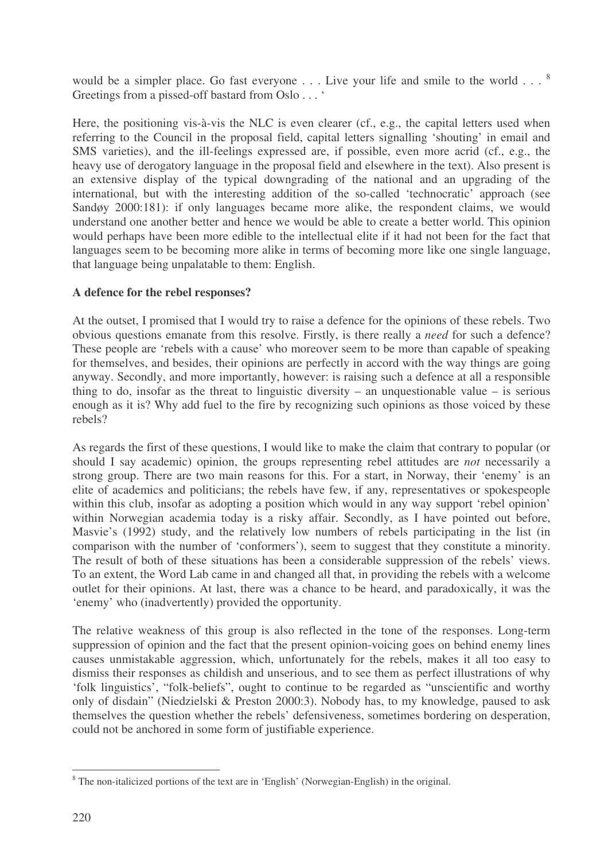would be a simpler place. Go fast everyone  $\dots$  Live your life and smile to the world  $\dots$   $^{8}$ Greetings from a pissed-off bastard from Oslo . . . '

Here, the positioning vis-à-vis the NLC is even clearer (cf., e.g., the capital letters used when referring to the Council in the proposal field, capital letters signalling 'shouting' in email and SMS varieties), and the ill-feelings expressed are, if possible, even more acrid (cf., e.g., the heavy use of derogatory language in the proposal field and elsewhere in the text). Also present is an extensive display of the typical downgrading of the national and an upgrading of the international, but with the interesting addition of the so-called 'technocratic' approach (see Sandøy 2000:181): if only languages became more alike, the respondent claims, we would understand one another better and hence we would be able to create a better world. This opinion would perhaps have been more edible to the intellectual elite if it had not been for the fact that languages seem to be becoming more alike in terms of becoming more like one single language, that language being unpalatable to them: English.

## **A defence for the rebel responses?**

At the outset, I promised that I would try to raise a defence for the opinions of these rebels. Two obvious questions emanate from this resolve. Firstly, is there really a *need* for such a defence? These people are 'rebels with a cause' who moreover seem to be more than capable of speaking for themselves, and besides, their opinions are perfectly in accord with the way things are going anyway. Secondly, and more importantly, however: is raising such a defence at all a responsible thing to do, insofar as the threat to linguistic diversity – an unquestionable value – is serious enough as it is? Why add fuel to the fire by recognizing such opinions as those voiced by these rebels?

As regards the first of these questions, I would like to make the claim that contrary to popular (or should I say academic) opinion, the groups representing rebel attitudes are *not* necessarily a strong group. There are two main reasons for this. For a start, in Norway, their 'enemy' is an elite of academics and politicians; the rebels have few, if any, representatives or spokespeople within this club, insofar as adopting a position which would in any way support 'rebel opinion' within Norwegian academia today is a risky affair. Secondly, as I have pointed out before, Masvie's (1992) study, and the relatively low numbers of rebels participating in the list (in comparison with the number of 'conformers'), seem to suggest that they constitute a minority. The result of both of these situations has been a considerable suppression of the rebels' views. To an extent, the Word Lab came in and changed all that, in providing the rebels with a welcome outlet for their opinions. At last, there was a chance to be heard, and paradoxically, it was the 'enemy' who (inadvertently) provided the opportunity.

The relative weakness of this group is also reflected in the tone of the responses. Long-term suppression of opinion and the fact that the present opinion-voicing goes on behind enemy lines causes unmistakable aggression, which, unfortunately for the rebels, makes it all too easy to dismiss their responses as childish and unserious, and to see them as perfect illustrations of why 'folk linguistics', "folk-beliefs", ought to continue to be regarded as "unscientific and worthy only of disdain" (Niedzielski & Preston 2000:3). Nobody has, to my knowledge, paused to ask themselves the question whether the rebels' defensiveness, sometimes bordering on desperation, could not be anchored in some form of justifiable experience.

<sup>&</sup>lt;sup>8</sup> The non-italicized portions of the text are in 'English' (Norwegian-English) in the original.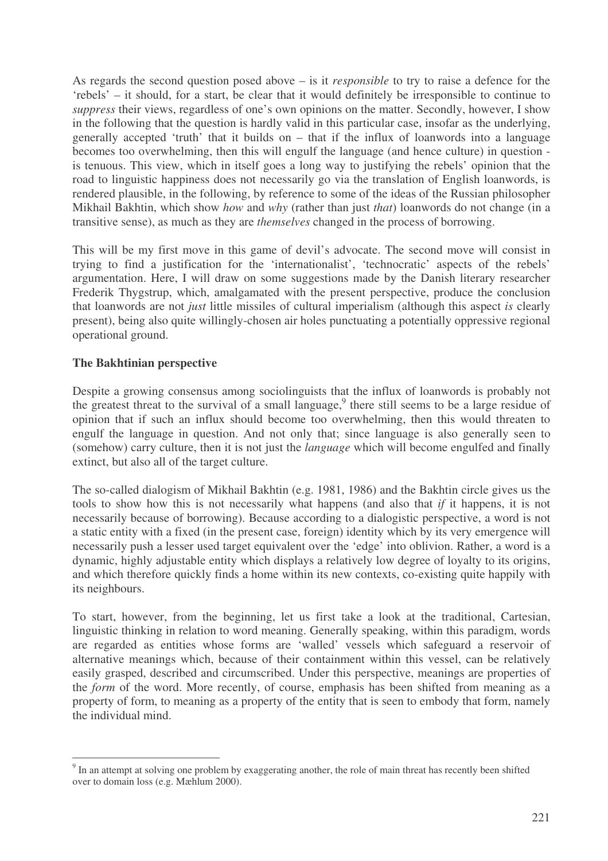As regards the second question posed above – is it *responsible* to try to raise a defence for the 'rebels' – it should, for a start, be clear that it would definitely be irresponsible to continue to *suppress* their views, regardless of one's own opinions on the matter. Secondly, however, I show in the following that the question is hardly valid in this particular case, insofar as the underlying, generally accepted 'truth' that it builds on – that if the influx of loanwords into a language becomes too overwhelming, then this will engulf the language (and hence culture) in question is tenuous. This view, which in itself goes a long way to justifying the rebels' opinion that the road to linguistic happiness does not necessarily go via the translation of English loanwords, is rendered plausible, in the following, by reference to some of the ideas of the Russian philosopher Mikhail Bakhtin, which show *how* and *why* (rather than just *that*) loanwords do not change (in a transitive sense), as much as they are *themselves* changed in the process of borrowing.

This will be my first move in this game of devil's advocate. The second move will consist in trying to find a justification for the 'internationalist', 'technocratic' aspects of the rebels' argumentation. Here, I will draw on some suggestions made by the Danish literary researcher Frederik Thygstrup, which, amalgamated with the present perspective, produce the conclusion that loanwords are not *just* little missiles of cultural imperialism (although this aspect *is* clearly present), being also quite willingly-chosen air holes punctuating a potentially oppressive regional operational ground.

## **The Bakhtinian perspective**

Despite a growing consensus among sociolinguists that the influx of loanwords is probably not the greatest threat to the survival of a small language,<sup>9</sup> there still seems to be a large residue of opinion that if such an influx should become too overwhelming, then this would threaten to engulf the language in question. And not only that; since language is also generally seen to (somehow) carry culture, then it is not just the *language* which will become engulfed and finally extinct, but also all of the target culture.

The so-called dialogism of Mikhail Bakhtin (e.g. 1981, 1986) and the Bakhtin circle gives us the tools to show how this is not necessarily what happens (and also that *if* it happens, it is not necessarily because of borrowing). Because according to a dialogistic perspective, a word is not a static entity with a fixed (in the present case, foreign) identity which by its very emergence will necessarily push a lesser used target equivalent over the 'edge' into oblivion. Rather, a word is a dynamic, highly adjustable entity which displays a relatively low degree of loyalty to its origins, and which therefore quickly finds a home within its new contexts, co-existing quite happily with its neighbours.

To start, however, from the beginning, let us first take a look at the traditional, Cartesian, linguistic thinking in relation to word meaning. Generally speaking, within this paradigm, words are regarded as entities whose forms are 'walled' vessels which safeguard a reservoir of alternative meanings which, because of their containment within this vessel, can be relatively easily grasped, described and circumscribed. Under this perspective, meanings are properties of the *form* of the word. More recently, of course, emphasis has been shifted from meaning as a property of form, to meaning as a property of the entity that is seen to embody that form, namely the individual mind.

 $9<sup>9</sup>$  In an attempt at solving one problem by exaggerating another, the role of main threat has recently been shifted over to domain loss (e.g. Mæhlum 2000).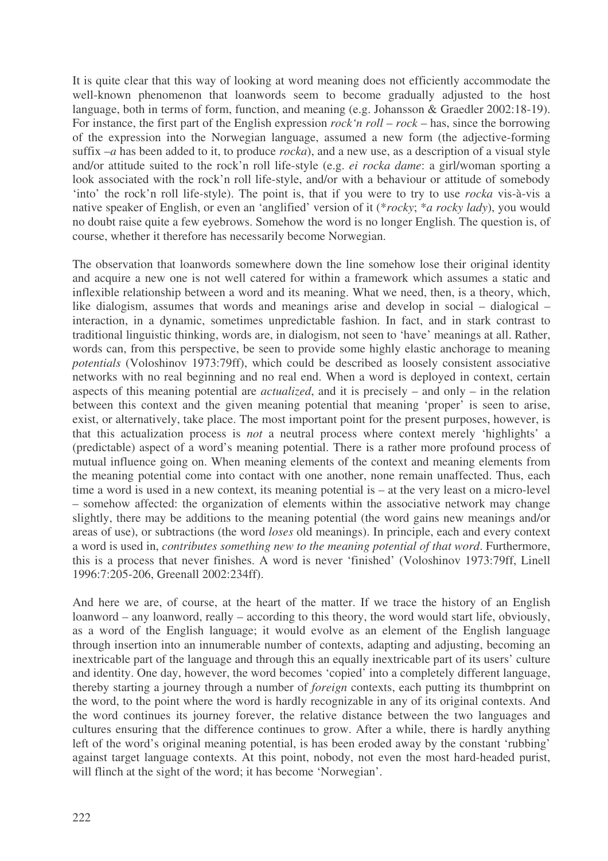It is quite clear that this way of looking at word meaning does not efficiently accommodate the well-known phenomenon that loanwords seem to become gradually adjusted to the host language, both in terms of form, function, and meaning (e.g. Johansson & Graedler 2002:18-19). For instance, the first part of the English expression *rock'n roll* – *rock* – has, since the borrowing of the expression into the Norwegian language, assumed a new form (the adjective-forming suffix –*a* has been added to it, to produce *rocka*), and a new use, as a description of a visual style and/or attitude suited to the rock'n roll life-style (e.g. *ei rocka dame*: a girl/woman sporting a look associated with the rock'n roll life-style, and/or with a behaviour or attitude of somebody 'into' the rock'n roll life-style). The point is, that if you were to try to use *rocka* vis-à-vis a native speaker of English, or even an 'anglified' version of it (\**rocky*; \**a rocky lady*), you would no doubt raise quite a few eyebrows. Somehow the word is no longer English. The question is, of course, whether it therefore has necessarily become Norwegian.

The observation that loanwords somewhere down the line somehow lose their original identity and acquire a new one is not well catered for within a framework which assumes a static and inflexible relationship between a word and its meaning. What we need, then, is a theory, which, like dialogism, assumes that words and meanings arise and develop in social – dialogical – interaction, in a dynamic, sometimes unpredictable fashion. In fact, and in stark contrast to traditional linguistic thinking, words are, in dialogism, not seen to 'have' meanings at all. Rather, words can, from this perspective, be seen to provide some highly elastic anchorage to meaning *potentials* (Voloshinov 1973:79ff), which could be described as loosely consistent associative networks with no real beginning and no real end. When a word is deployed in context, certain aspects of this meaning potential are *actualized*, and it is precisely – and only – in the relation between this context and the given meaning potential that meaning 'proper' is seen to arise, exist, or alternatively, take place. The most important point for the present purposes, however, is that this actualization process is *not* a neutral process where context merely 'highlights' a (predictable) aspect of a word's meaning potential. There is a rather more profound process of mutual influence going on. When meaning elements of the context and meaning elements from the meaning potential come into contact with one another, none remain unaffected. Thus, each time a word is used in a new context, its meaning potential is – at the very least on a micro-level – somehow affected: the organization of elements within the associative network may change slightly, there may be additions to the meaning potential (the word gains new meanings and/or areas of use), or subtractions (the word *loses* old meanings). In principle, each and every context a word is used in, *contributes something new to the meaning potential of that word*. Furthermore, this is a process that never finishes. A word is never 'finished' (Voloshinov 1973:79ff, Linell 1996:7:205-206, Greenall 2002:234ff).

And here we are, of course, at the heart of the matter. If we trace the history of an English loanword – any loanword, really – according to this theory, the word would start life, obviously, as a word of the English language; it would evolve as an element of the English language through insertion into an innumerable number of contexts, adapting and adjusting, becoming an inextricable part of the language and through this an equally inextricable part of its users' culture and identity. One day, however, the word becomes 'copied' into a completely different language, thereby starting a journey through a number of *foreign* contexts, each putting its thumbprint on the word, to the point where the word is hardly recognizable in any of its original contexts. And the word continues its journey forever, the relative distance between the two languages and cultures ensuring that the difference continues to grow. After a while, there is hardly anything left of the word's original meaning potential, is has been eroded away by the constant 'rubbing' against target language contexts. At this point, nobody, not even the most hard-headed purist, will flinch at the sight of the word; it has become 'Norwegian'.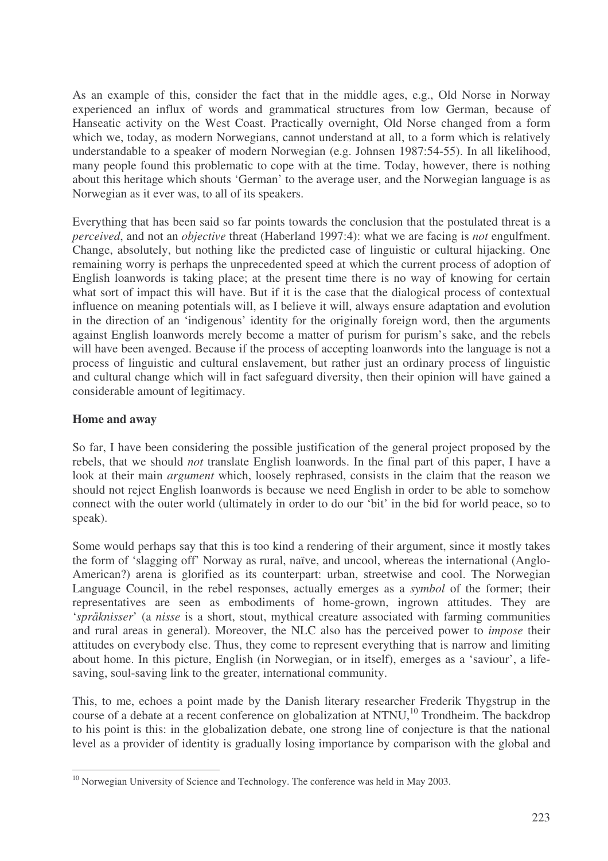As an example of this, consider the fact that in the middle ages, e.g., Old Norse in Norway experienced an influx of words and grammatical structures from low German, because of Hanseatic activity on the West Coast. Practically overnight, Old Norse changed from a form which we, today, as modern Norwegians, cannot understand at all, to a form which is relatively understandable to a speaker of modern Norwegian (e.g. Johnsen 1987:54-55). In all likelihood, many people found this problematic to cope with at the time. Today, however, there is nothing about this heritage which shouts 'German' to the average user, and the Norwegian language is as Norwegian as it ever was, to all of its speakers.

Everything that has been said so far points towards the conclusion that the postulated threat is a *perceived*, and not an *objective* threat (Haberland 1997:4): what we are facing is *not* engulfment. Change, absolutely, but nothing like the predicted case of linguistic or cultural hijacking. One remaining worry is perhaps the unprecedented speed at which the current process of adoption of English loanwords is taking place; at the present time there is no way of knowing for certain what sort of impact this will have. But if it is the case that the dialogical process of contextual influence on meaning potentials will, as I believe it will, always ensure adaptation and evolution in the direction of an 'indigenous' identity for the originally foreign word, then the arguments against English loanwords merely become a matter of purism for purism's sake, and the rebels will have been avenged. Because if the process of accepting loanwords into the language is not a process of linguistic and cultural enslavement, but rather just an ordinary process of linguistic and cultural change which will in fact safeguard diversity, then their opinion will have gained a considerable amount of legitimacy.

## **Home and away**

So far, I have been considering the possible justification of the general project proposed by the rebels, that we should *not* translate English loanwords. In the final part of this paper, I have a look at their main *argument* which, loosely rephrased, consists in the claim that the reason we should not reject English loanwords is because we need English in order to be able to somehow connect with the outer world (ultimately in order to do our 'bit' in the bid for world peace, so to speak).

Some would perhaps say that this is too kind a rendering of their argument, since it mostly takes the form of 'slagging off' Norway as rural, naïve, and uncool, whereas the international (Anglo-American?) arena is glorified as its counterpart: urban, streetwise and cool. The Norwegian Language Council, in the rebel responses, actually emerges as a *symbol* of the former; their representatives are seen as embodiments of home-grown, ingrown attitudes. They are '*språknisser*' (a *nisse* is a short, stout, mythical creature associated with farming communities and rural areas in general). Moreover, the NLC also has the perceived power to *impose* their attitudes on everybody else. Thus, they come to represent everything that is narrow and limiting about home. In this picture, English (in Norwegian, or in itself), emerges as a 'saviour', a lifesaving, soul-saving link to the greater, international community.

This, to me, echoes a point made by the Danish literary researcher Frederik Thygstrup in the course of a debate at a recent conference on globalization at NTNU,<sup>10</sup> Trondheim. The backdrop to his point is this: in the globalization debate, one strong line of conjecture is that the national level as a provider of identity is gradually losing importance by comparison with the global and

<sup>&</sup>lt;sup>10</sup> Norwegian University of Science and Technology. The conference was held in May 2003.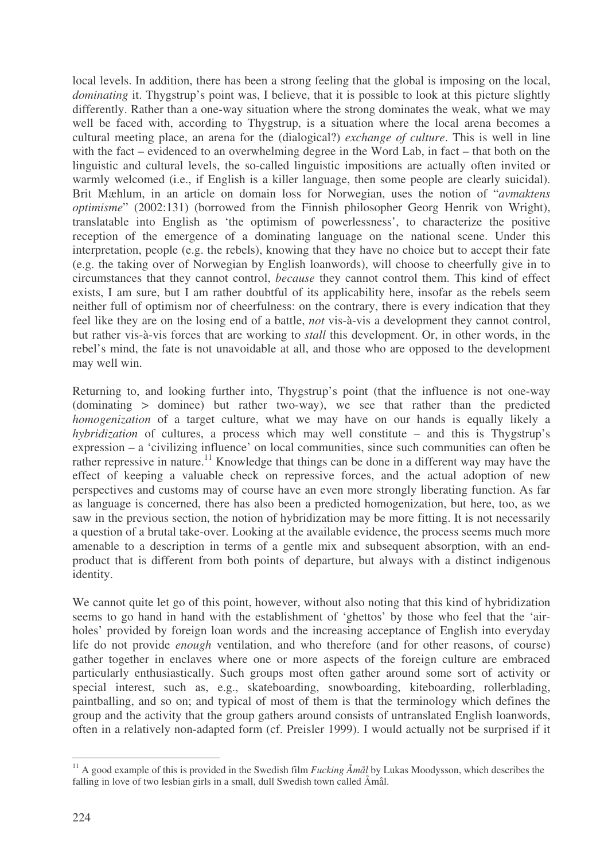local levels. In addition, there has been a strong feeling that the global is imposing on the local, *dominating* it. Thygstrup's point was, I believe, that it is possible to look at this picture slightly differently. Rather than a one-way situation where the strong dominates the weak, what we may well be faced with, according to Thygstrup, is a situation where the local arena becomes a cultural meeting place, an arena for the (dialogical?) *exchange of culture*. This is well in line with the fact – evidenced to an overwhelming degree in the Word Lab, in fact – that both on the linguistic and cultural levels, the so-called linguistic impositions are actually often invited or warmly welcomed (i.e., if English is a killer language, then some people are clearly suicidal). Brit Mæhlum, in an article on domain loss for Norwegian, uses the notion of "*avmaktens optimisme*" (2002:131) (borrowed from the Finnish philosopher Georg Henrik von Wright), translatable into English as 'the optimism of powerlessness', to characterize the positive reception of the emergence of a dominating language on the national scene. Under this interpretation, people (e.g. the rebels), knowing that they have no choice but to accept their fate (e.g. the taking over of Norwegian by English loanwords), will choose to cheerfully give in to circumstances that they cannot control, *because* they cannot control them. This kind of effect exists, I am sure, but I am rather doubtful of its applicability here, insofar as the rebels seem neither full of optimism nor of cheerfulness: on the contrary, there is every indication that they feel like they are on the losing end of a battle, *not* vis-à-vis a development they cannot control, but rather vis-à-vis forces that are working to *stall* this development. Or, in other words, in the rebel's mind, the fate is not unavoidable at all, and those who are opposed to the development may well win.

Returning to, and looking further into, Thygstrup's point (that the influence is not one-way (dominating > dominee) but rather two-way), we see that rather than the predicted *homogenization* of a target culture, what we may have on our hands is equally likely a *hybridization* of cultures, a process which may well constitute – and this is Thygstrup's expression – a 'civilizing influence' on local communities, since such communities can often be rather repressive in nature.<sup>11</sup> Knowledge that things can be done in a different way may have the effect of keeping a valuable check on repressive forces, and the actual adoption of new perspectives and customs may of course have an even more strongly liberating function. As far as language is concerned, there has also been a predicted homogenization, but here, too, as we saw in the previous section, the notion of hybridization may be more fitting. It is not necessarily a question of a brutal take-over. Looking at the available evidence, the process seems much more amenable to a description in terms of a gentle mix and subsequent absorption, with an endproduct that is different from both points of departure, but always with a distinct indigenous identity.

We cannot quite let go of this point, however, without also noting that this kind of hybridization seems to go hand in hand with the establishment of 'ghettos' by those who feel that the 'airholes' provided by foreign loan words and the increasing acceptance of English into everyday life do not provide *enough* ventilation, and who therefore (and for other reasons, of course) gather together in enclaves where one or more aspects of the foreign culture are embraced particularly enthusiastically. Such groups most often gather around some sort of activity or special interest, such as, e.g., skateboarding, snowboarding, kiteboarding, rollerblading, paintballing, and so on; and typical of most of them is that the terminology which defines the group and the activity that the group gathers around consists of untranslated English loanwords, often in a relatively non-adapted form (cf. Preisler 1999). I would actually not be surprised if it

<sup>11</sup> A good example of this is provided in the Swedish film *Fucking Åmål* by Lukas Moodysson, which describes the falling in love of two lesbian girls in a small, dull Swedish town called Åmål.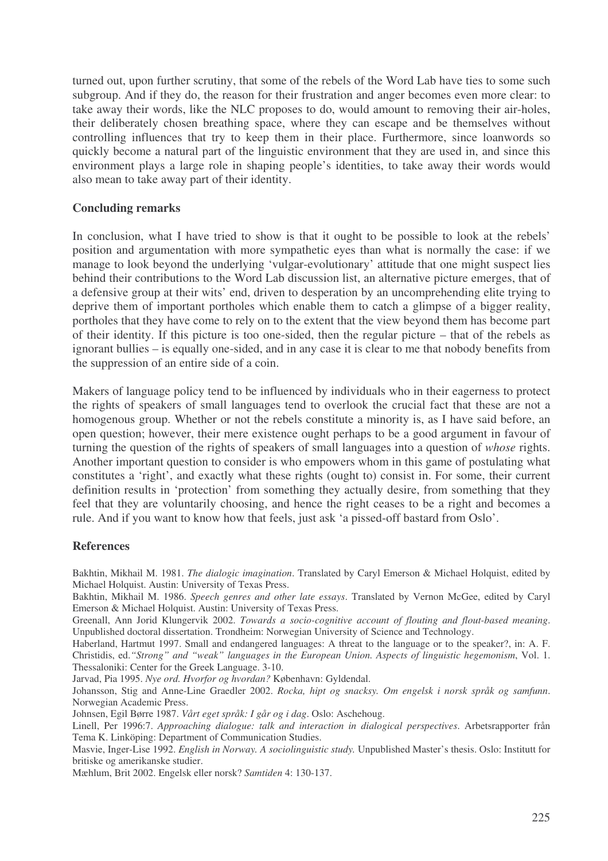turned out, upon further scrutiny, that some of the rebels of the Word Lab have ties to some such subgroup. And if they do, the reason for their frustration and anger becomes even more clear: to take away their words, like the NLC proposes to do, would amount to removing their air-holes, their deliberately chosen breathing space, where they can escape and be themselves without controlling influences that try to keep them in their place. Furthermore, since loanwords so quickly become a natural part of the linguistic environment that they are used in, and since this environment plays a large role in shaping people's identities, to take away their words would also mean to take away part of their identity.

## **Concluding remarks**

In conclusion, what I have tried to show is that it ought to be possible to look at the rebels' position and argumentation with more sympathetic eyes than what is normally the case: if we manage to look beyond the underlying 'vulgar-evolutionary' attitude that one might suspect lies behind their contributions to the Word Lab discussion list, an alternative picture emerges, that of a defensive group at their wits' end, driven to desperation by an uncomprehending elite trying to deprive them of important portholes which enable them to catch a glimpse of a bigger reality, portholes that they have come to rely on to the extent that the view beyond them has become part of their identity. If this picture is too one-sided, then the regular picture – that of the rebels as ignorant bullies – is equally one-sided, and in any case it is clear to me that nobody benefits from the suppression of an entire side of a coin.

Makers of language policy tend to be influenced by individuals who in their eagerness to protect the rights of speakers of small languages tend to overlook the crucial fact that these are not a homogenous group. Whether or not the rebels constitute a minority is, as I have said before, an open question; however, their mere existence ought perhaps to be a good argument in favour of turning the question of the rights of speakers of small languages into a question of *whose* rights. Another important question to consider is who empowers whom in this game of postulating what constitutes a 'right', and exactly what these rights (ought to) consist in. For some, their current definition results in 'protection' from something they actually desire, from something that they feel that they are voluntarily choosing, and hence the right ceases to be a right and becomes a rule. And if you want to know how that feels, just ask 'a pissed-off bastard from Oslo'.

### **References**

Bakhtin, Mikhail M. 1981. *The dialogic imagination*. Translated by Caryl Emerson & Michael Holquist, edited by Michael Holquist. Austin: University of Texas Press.

Bakhtin, Mikhail M. 1986. *Speech genres and other late essays*. Translated by Vernon McGee, edited by Caryl Emerson & Michael Holquist. Austin: University of Texas Press.

Greenall, Ann Jorid Klungervik 2002. *Towards a socio-cognitive account of flouting and flout-based meaning*. Unpublished doctoral dissertation. Trondheim: Norwegian University of Science and Technology.

Haberland, Hartmut 1997. Small and endangered languages: A threat to the language or to the speaker?, in: A. F. Christidis, ed.*"Strong" and "weak" languages in the European Union. Aspects of linguistic hegemonism*, Vol. 1. Thessaloniki: Center for the Greek Language. 3-10.

Jarvad, Pia 1995. *Nye ord. Hvorfor og hvordan?* København: Gyldendal.

Johansson, Stig and Anne-Line Graedler 2002. *Rocka, hipt og snacksy. Om engelsk i norsk språk og samfunn*. Norwegian Academic Press.

Johnsen, Egil Børre 1987. *Vårt eget språk: I går og i dag*. Oslo: Aschehoug.

Linell, Per 1996:7. *Approaching dialogue: talk and interaction in dialogical perspectives*. Arbetsrapporter från Tema K. Linköping: Department of Communication Studies.

Masvie, Inger-Lise 1992. *English in Norway. A sociolinguistic study.* Unpublished Master's thesis. Oslo: Institutt for britiske og amerikanske studier.

Mæhlum, Brit 2002. Engelsk eller norsk? *Samtiden* 4: 130-137.